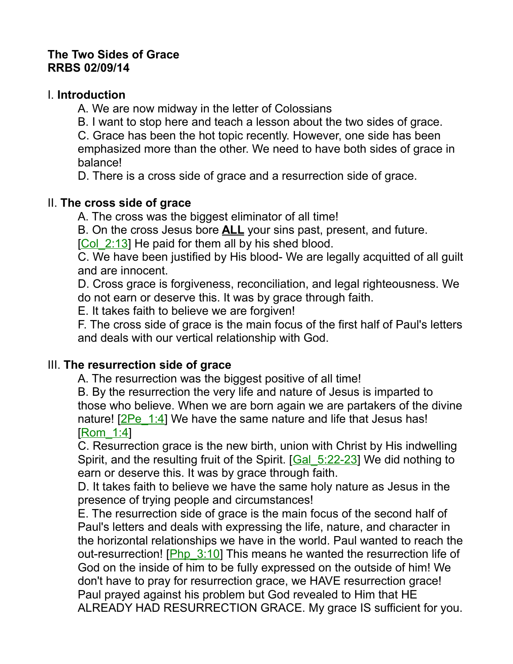#### **The Two Sides of Grace RRBS 02/09/14**

#### I. **Introduction**

A. We are now midway in the letter of Colossians

B. I want to stop here and teach a lesson about the two sides of grace.

C. Grace has been the hot topic recently. However, one side has been emphasized more than the other. We need to have both sides of grace in balance!

D. There is a cross side of grace and a resurrection side of grace.

### II. **The cross side of grace**

A. The cross was the biggest eliminator of all time!

B. On the cross Jesus bore **ALL** your sins past, present, and future.

[Col\_2:13] He paid for them all by his shed blood.

C. We have been justified by His blood- We are legally acquitted of all guilt and are innocent.

D. Cross grace is forgiveness, reconciliation, and legal righteousness. We do not earn or deserve this. It was by grace through faith.

E. It takes faith to believe we are forgiven!

F. The cross side of grace is the main focus of the first half of Paul's letters and deals with our vertical relationship with God.

### III. **The resurrection side of grace**

A. The resurrection was the biggest positive of all time!

B. By the resurrection the very life and nature of Jesus is imparted to those who believe. When we are born again we are partakers of the divine nature! [2Pe\_1:4] We have the same nature and life that Jesus has! [Rom\_1:4]

C. Resurrection grace is the new birth, union with Christ by His indwelling Spirit, and the resulting fruit of the Spirit. [Gal\_5:22-23] We did nothing to earn or deserve this. It was by grace through faith.

D. It takes faith to believe we have the same holy nature as Jesus in the presence of trying people and circumstances!

E. The resurrection side of grace is the main focus of the second half of Paul's letters and deals with expressing the life, nature, and character in the horizontal relationships we have in the world. Paul wanted to reach the out-resurrection! [Php\_3:10] This means he wanted the resurrection life of God on the inside of him to be fully expressed on the outside of him! We don't have to pray for resurrection grace, we HAVE resurrection grace! Paul prayed against his problem but God revealed to Him that HE ALREADY HAD RESURRECTION GRACE. My grace IS sufficient for you.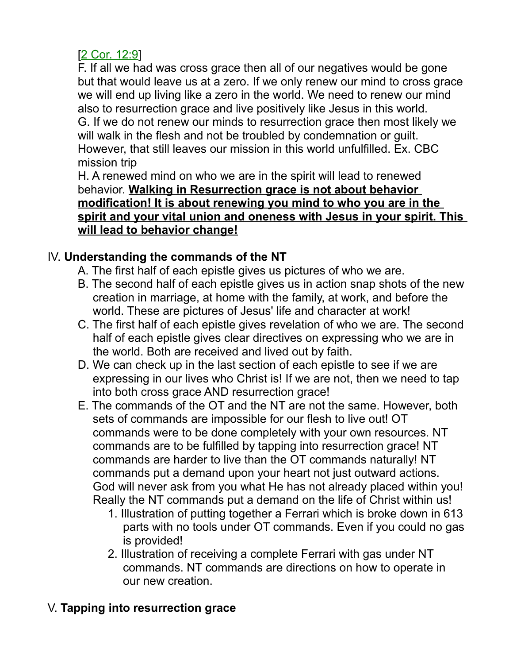## [2 Cor. 12:9]

F. If all we had was cross grace then all of our negatives would be gone but that would leave us at a zero. If we only renew our mind to cross grace we will end up living like a zero in the world. We need to renew our mind also to resurrection grace and live positively like Jesus in this world. G. If we do not renew our minds to resurrection grace then most likely we will walk in the flesh and not be troubled by condemnation or quilt. However, that still leaves our mission in this world unfulfilled. Ex. CBC mission trip

H. A renewed mind on who we are in the spirit will lead to renewed behavior. **Walking in Resurrection grace is not about behavior modification! It is about renewing you mind to who you are in the spirit and your vital union and oneness with Jesus in your spirit. This will lead to behavior change!**

# IV. **Understanding the commands of the NT**

- A. The first half of each epistle gives us pictures of who we are.
- B. The second half of each epistle gives us in action snap shots of the new creation in marriage, at home with the family, at work, and before the world. These are pictures of Jesus' life and character at work!
- C. The first half of each epistle gives revelation of who we are. The second half of each epistle gives clear directives on expressing who we are in the world. Both are received and lived out by faith.
- D. We can check up in the last section of each epistle to see if we are expressing in our lives who Christ is! If we are not, then we need to tap into both cross grace AND resurrection grace!
- E. The commands of the OT and the NT are not the same. However, both sets of commands are impossible for our flesh to live out! OT commands were to be done completely with your own resources. NT commands are to be fulfilled by tapping into resurrection grace! NT commands are harder to live than the OT commands naturally! NT commands put a demand upon your heart not just outward actions. God will never ask from you what He has not already placed within you! Really the NT commands put a demand on the life of Christ within us!
	- 1. Illustration of putting together a Ferrari which is broke down in 613 parts with no tools under OT commands. Even if you could no gas is provided!
	- 2. Illustration of receiving a complete Ferrari with gas under NT commands. NT commands are directions on how to operate in our new creation.

# V. **Tapping into resurrection grace**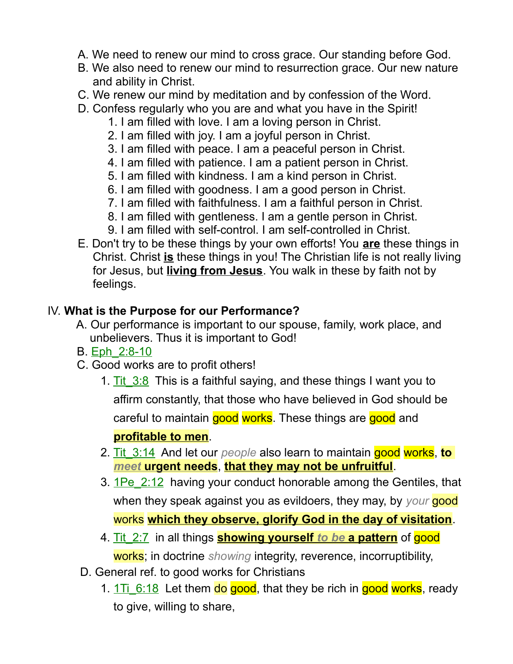- A. We need to renew our mind to cross grace. Our standing before God.
- B. We also need to renew our mind to resurrection grace. Our new nature and ability in Christ.
- C. We renew our mind by meditation and by confession of the Word.
- D. Confess regularly who you are and what you have in the Spirit!
	- 1. I am filled with love. I am a loving person in Christ.
	- 2. I am filled with joy. I am a joyful person in Christ.
	- 3. I am filled with peace. I am a peaceful person in Christ.
	- 4. I am filled with patience. I am a patient person in Christ.
	- 5. I am filled with kindness. I am a kind person in Christ.
	- 6. I am filled with goodness. I am a good person in Christ.
	- 7. I am filled with faithfulness. I am a faithful person in Christ.
	- 8. I am filled with gentleness. I am a gentle person in Christ.
	- 9. I am filled with self-control. I am self-controlled in Christ.
- E. Don't try to be these things by your own efforts! You **are** these things in Christ. Christ **is** these things in you! The Christian life is not really living for Jesus, but **living from Jesus**. You walk in these by faith not by feelings.

## IV. **What is the Purpose for our Performance?**

- A. Our performance is important to our spouse, family, work place, and unbelievers. Thus it is important to God!
- B. Eph\_2:8-10
- C. Good works are to profit others!
	- 1. Tit  $3:8$  This is a faithful saying, and these things I want you to affirm constantly, that those who have believed in God should be careful to maintain good works. These things are good and **profitable to men**.
	- 2. Tit\_3:14 And let our *people* also learn to maintain good works, **to**   *meet* **urgent needs**, **that they may not be unfruitful**.
	- 3.  $1\text{Pe}$  2:12 having your conduct honorable among the Gentiles, that when they speak against you as evildoers, they may, by *your* good works **which they observe, glorify God in the day of visitation**.
	- 4. Tit\_2:7 in all things **showing yourself** *to be* **a pattern** of good works; in doctrine *showing* integrity, reverence, incorruptibility,
- D. General ref. to good works for Christians
	- 1. 1Ti\_6:18 Let them do good, that they be rich in good works, ready to give, willing to share,